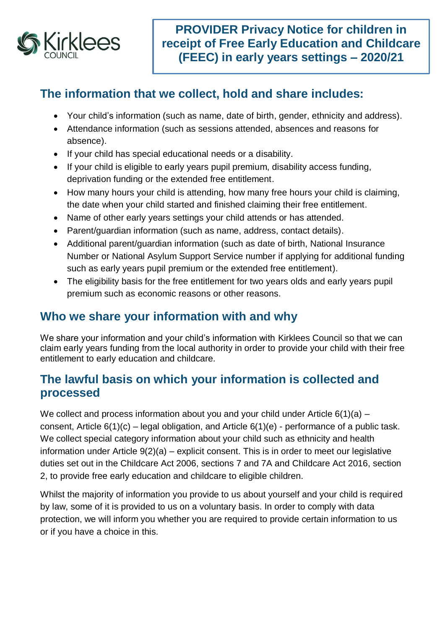

# **The information that we collect, hold and share includes:**

- Your child's information (such as name, date of birth, gender, ethnicity and address).
- Attendance information (such as sessions attended, absences and reasons for absence).
- If your child has special educational needs or a disability.
- If your child is eligible to early years pupil premium, disability access funding, deprivation funding or the extended free entitlement.
- How many hours your child is attending, how many free hours your child is claiming, the date when your child started and finished claiming their free entitlement.
- Name of other early years settings your child attends or has attended.
- Parent/guardian information (such as name, address, contact details).
- Additional parent/guardian information (such as date of birth, National Insurance Number or National Asylum Support Service number if applying for additional funding such as early years pupil premium or the extended free entitlement).
- The eligibility basis for the free entitlement for two years olds and early years pupil premium such as economic reasons or other reasons.

# **Who we share your information with and why**

We share your information and your child's information with Kirklees Council so that we can claim early years funding from the local authority in order to provide your child with their free entitlement to early education and childcare.

### **The lawful basis on which your information is collected and processed**

We collect and process information about you and your child under Article 6(1)(a) – consent, Article 6(1)(c) – legal obligation, and Article 6(1)(e) - performance of a public task. We collect special category information about your child such as ethnicity and health information under Article 9(2)(a) – explicit consent. This is in order to meet our legislative duties set out in the Childcare Act 2006, sections 7 and 7A and Childcare Act 2016, section 2, to provide free early education and childcare to eligible children.

Whilst the majority of information you provide to us about yourself and your child is required by law, some of it is provided to us on a voluntary basis. In order to comply with data protection, we will inform you whether you are required to provide certain information to us or if you have a choice in this.